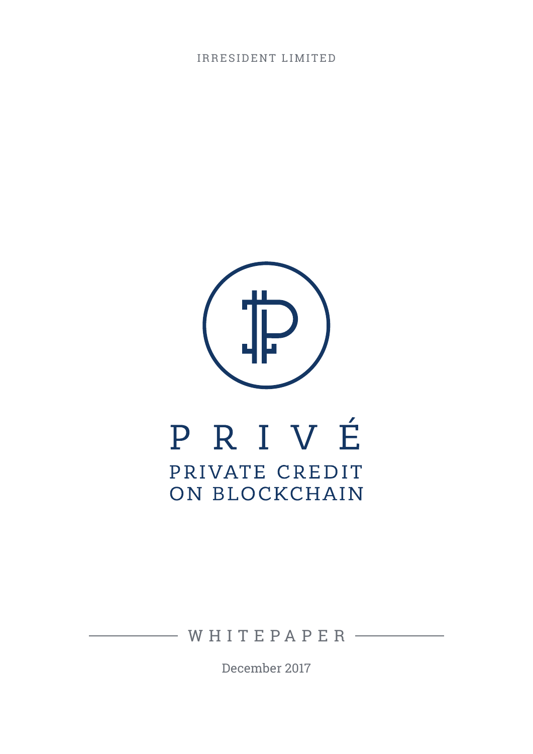IRRESIDENT LIMITED



# PRIVÉ PRIVATE CREDIT ON BLOCKCHAIN

 $-WH$ ITEPAPER $-$ 

December 2017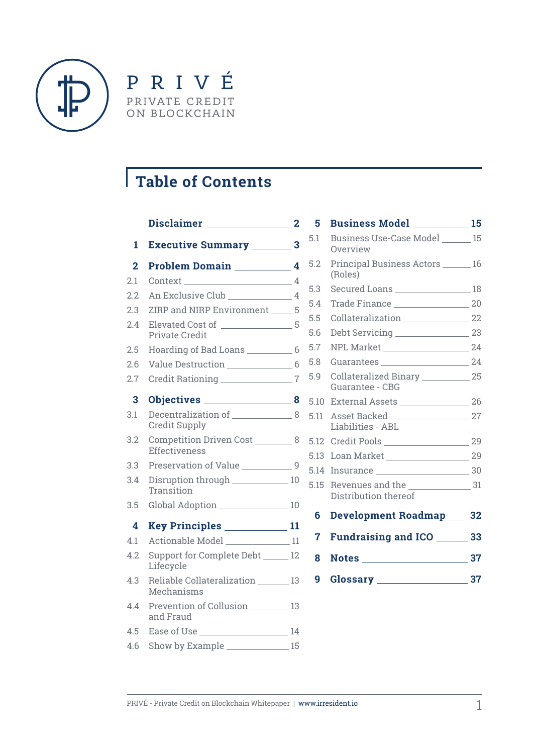

PRIVÉ PRIVATE CREDIT ON BLOCKCHAIN

# **Table of Contents**

|     | Disclaimer 2                                                  |  |
|-----|---------------------------------------------------------------|--|
| 1   | <b>Executive Summary ________ 3</b>                           |  |
| 2   | Problem Domain 14                                             |  |
| 2.1 |                                                               |  |
| 2.2 |                                                               |  |
| 2.3 | ZIRP and NIRP Environment _____ 5                             |  |
| 2.4 | <b>Private Credit</b>                                         |  |
| 2.5 | Hoarding of Bad Loans _____________ 6                         |  |
| 2.6 |                                                               |  |
| 2.7 | Credit Rationing 7                                            |  |
| 3   |                                                               |  |
| 3.1 | Decentralization of ________________8<br><b>Credit Supply</b> |  |
| 3.2 | Competition Driven Cost __________ 8<br>Effectiveness         |  |
| 3.3 | Preservation of Value ____________9                           |  |
| 3.4 | Disruption through 10<br>Transition                           |  |
| 3.5 | Global Adoption _________________ 10                          |  |
| 4   | Key Principles _____________11                                |  |
| 4.1 | Actionable Model _____________ 11                             |  |
| 4.2 | Support for Complete Debt ______ 12<br>Lifecycle              |  |
| 43  | Reliable Collateralization 13<br>Mechanisms                   |  |
| 4.4 | Prevention of Collusion 13<br>and Fraud                       |  |
| 4.5 |                                                               |  |
| 4.6 |                                                               |  |

| 5    | <b>Business Model</b> 15                                  |  |
|------|-----------------------------------------------------------|--|
| 5.1  | Business Use-Case Model ______ 15<br>Overview             |  |
| 5.2  | Principal Business Actors ______ 16<br>(Roles)            |  |
| 5.3  | Secured Loans ___________________ 18                      |  |
| 5.4  |                                                           |  |
| 5.5  | Collateralization 22                                      |  |
| 5.6  |                                                           |  |
| 5.7  |                                                           |  |
| 5.8  |                                                           |  |
| 5.9  | Collateralized Binary _____________ 25<br>Guarantee - CBG |  |
| 5.10 |                                                           |  |
| 5.11 | Liabilities - ABL                                         |  |
|      |                                                           |  |
| 5.13 |                                                           |  |
| 5.14 |                                                           |  |
| 5.15 | Distribution thereof                                      |  |
| 6    | <b>Development Roadmap ___ 32</b>                         |  |
| 7    | <b>Fundraising and ICO</b> ______ 33                      |  |
| 8    |                                                           |  |
| 9    |                                                           |  |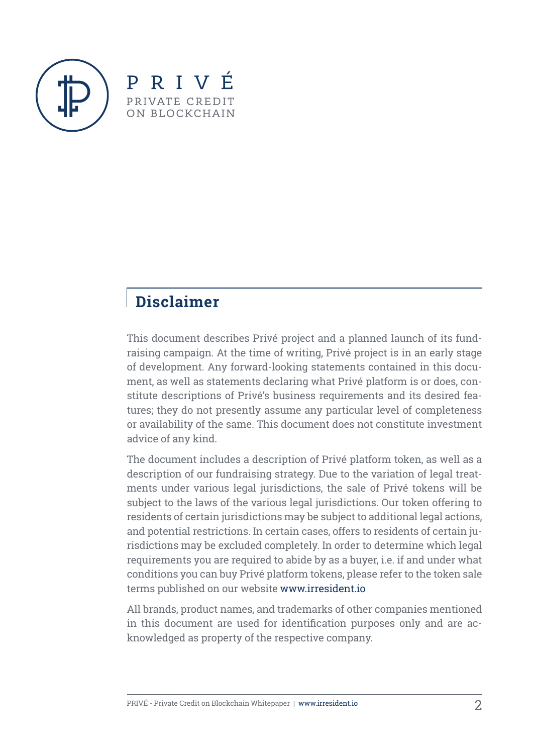



# **Disclaimer**

This document describes Privé project and a planned launch of its fundraising campaign. At the time of writing, Privé project is in an early stage of development. Any forward-looking statements contained in this document, as well as statements declaring what Privé platform is or does, constitute descriptions of Privé's business requirements and its desired features; they do not presently assume any particular level of completeness or availability of the same. This document does not constitute investment advice of any kind.

The document includes a description of Privé platform token, as well as a description of our fundraising strategy. Due to the variation of legal treatments under various legal jurisdictions, the sale of Privé tokens will be subject to the laws of the various legal jurisdictions. Our token offering to residents of certain jurisdictions may be subject to additional legal actions, and potential restrictions. In certain cases, offers to residents of certain jurisdictions may be excluded completely. In order to determine which legal requirements you are required to abide by as a buyer, i.e. if and under what conditions you can buy Privé platform tokens, please refer to the token sale terms published on our website www.irresident.io

All brands, product names, and trademarks of other companies mentioned in this document are used for identification purposes only and are acknowledged as property of the respective company.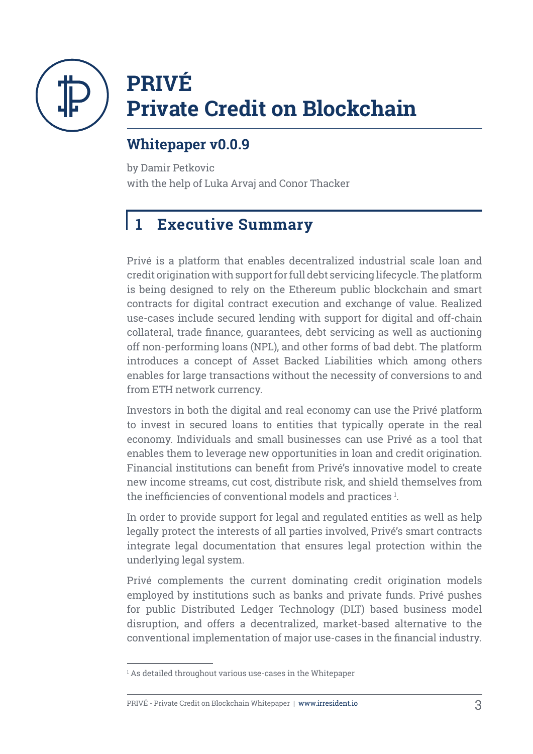

# **PRIVÉ Private Credit on Blockchain**

# **Whitepaper v0.0.9**

by Damir Petkovic with the help of Luka Arvaj and Conor Thacker

# **1 Executive Summary**

Privé is a platform that enables decentralized industrial scale loan and credit origination with support for full debt servicing lifecycle. The platform is being designed to rely on the Ethereum public blockchain and smart contracts for digital contract execution and exchange of value. Realized use-cases include secured lending with support for digital and off-chain collateral, trade finance, guarantees, debt servicing as well as auctioning off non-performing loans (NPL), and other forms of bad debt. The platform introduces a concept of Asset Backed Liabilities which among others enables for large transactions without the necessity of conversions to and from ETH network currency.

Investors in both the digital and real economy can use the Privé platform to invest in secured loans to entities that typically operate in the real economy. Individuals and small businesses can use Privé as a tool that enables them to leverage new opportunities in loan and credit origination. Financial institutions can benefit from Privé's innovative model to create new income streams, cut cost, distribute risk, and shield themselves from the inefficiencies of conventional models and practices <sup>1</sup>.

In order to provide support for legal and regulated entities as well as help legally protect the interests of all parties involved, Privé's smart contracts integrate legal documentation that ensures legal protection within the underlying legal system.

Privé complements the current dominating credit origination models employed by institutions such as banks and private funds. Privé pushes for public Distributed Ledger Technology (DLT) based business model disruption, and offers a decentralized, market-based alternative to the conventional implementation of major use-cases in the financial industry.

#### PRIVÉ - Private Credit on Blockchain Whitepaper **|** www.irresident.io 3

 $^{\rm _{1}}$  As detailed throughout various use-cases in the Whitepaper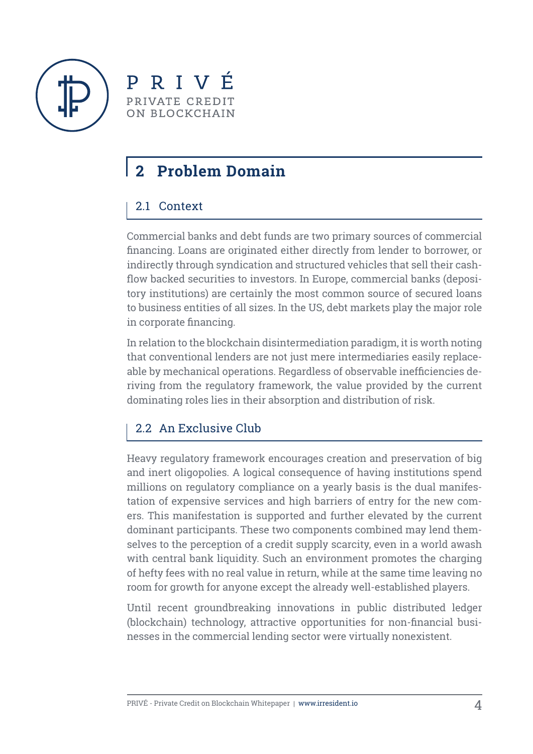

PRIVÉ PRIVATE CREDIT ON BLOCKCHAIN

# **2 Problem Domain**

#### 2.1 Context

Commercial banks and debt funds are two primary sources of commercial financing. Loans are originated either directly from lender to borrower, or indirectly through syndication and structured vehicles that sell their cashflow backed securities to investors. In Europe, commercial banks (depository institutions) are certainly the most common source of secured loans to business entities of all sizes. In the US, debt markets play the major role in corporate financing.

In relation to the blockchain disintermediation paradigm, it is worth noting that conventional lenders are not just mere intermediaries easily replaceable by mechanical operations. Regardless of observable inefficiencies deriving from the regulatory framework, the value provided by the current dominating roles lies in their absorption and distribution of risk.

### 2.2 An Exclusive Club

Heavy regulatory framework encourages creation and preservation of big and inert oligopolies. A logical consequence of having institutions spend millions on regulatory compliance on a yearly basis is the dual manifestation of expensive services and high barriers of entry for the new comers. This manifestation is supported and further elevated by the current dominant participants. These two components combined may lend themselves to the perception of a credit supply scarcity, even in a world awash with central bank liquidity. Such an environment promotes the charging of hefty fees with no real value in return, while at the same time leaving no room for growth for anyone except the already well-established players.

Until recent groundbreaking innovations in public distributed ledger (blockchain) technology, attractive opportunities for non-financial businesses in the commercial lending sector were virtually nonexistent.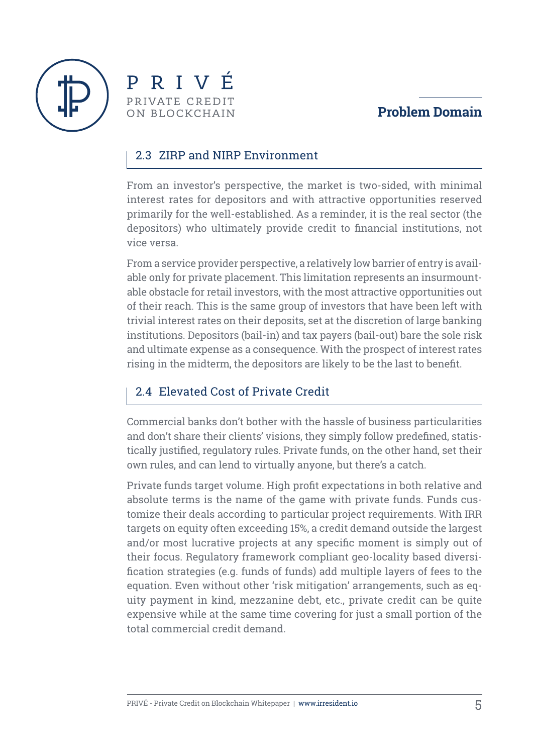





#### 2.3 ZIRP and NIRP Environment

From an investor's perspective, the market is two-sided, with minimal interest rates for depositors and with attractive opportunities reserved primarily for the well-established. As a reminder, it is the real sector (the depositors) who ultimately provide credit to financial institutions, not vice versa.

From a service provider perspective, a relatively low barrier of entry is available only for private placement. This limitation represents an insurmountable obstacle for retail investors, with the most attractive opportunities out of their reach. This is the same group of investors that have been left with trivial interest rates on their deposits, set at the discretion of large banking institutions. Depositors (bail-in) and tax payers (bail-out) bare the sole risk and ultimate expense as a consequence. With the prospect of interest rates rising in the midterm, the depositors are likely to be the last to benefit.

### 2.4 Elevated Cost of Private Credit

Commercial banks don't bother with the hassle of business particularities and don't share their clients' visions, they simply follow predefined, statistically justified, regulatory rules. Private funds, on the other hand, set their own rules, and can lend to virtually anyone, but there's a catch.

Private funds target volume. High profit expectations in both relative and absolute terms is the name of the game with private funds. Funds customize their deals according to particular project requirements. With IRR targets on equity often exceeding 15%, a credit demand outside the largest and/or most lucrative projects at any specific moment is simply out of their focus. Regulatory framework compliant geo-locality based diversification strategies (e.g. funds of funds) add multiple layers of fees to the equation. Even without other 'risk mitigation' arrangements, such as equity payment in kind, mezzanine debt, etc., private credit can be quite expensive while at the same time covering for just a small portion of the total commercial credit demand.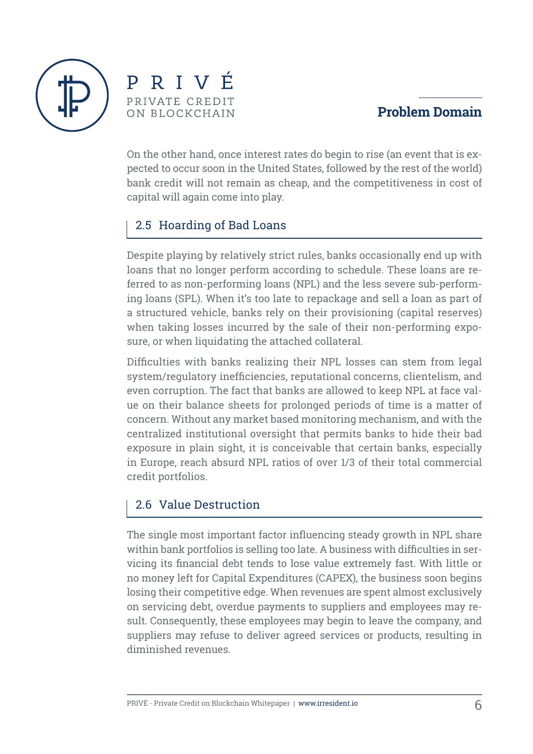



#### **Problem Domain**

On the other hand, once interest rates do begin to rise (an event that is expected to occur soon in the United States, followed by the rest of the world) bank credit will not remain as cheap, and the competitiveness in cost of capital will again come into play.

#### 2.5 Hoarding of Bad Loans

Despite playing by relatively strict rules, banks occasionally end up with loans that no longer perform according to schedule. These loans are referred to as non-performing loans (NPL) and the less severe sub-performing loans (SPL). When it's too late to repackage and sell a loan as part of a structured vehicle, banks rely on their provisioning (capital reserves) when taking losses incurred by the sale of their non-performing exposure, or when liquidating the attached collateral.

Difficulties with banks realizing their NPL losses can stem from legal system/regulatory inefficiencies, reputational concerns, clientelism, and even corruption. The fact that banks are allowed to keep NPL at face value on their balance sheets for prolonged periods of time is a matter of concern. Without any market based monitoring mechanism, and with the centralized institutional oversight that permits banks to hide their bad exposure in plain sight, it is conceivable that certain banks, especially in Europe, reach absurd NPL ratios of over 1/3 of their total commercial credit portfolios.

#### 2.6 Value Destruction

The single most important factor influencing steady growth in NPL share within bank portfolios is selling too late. A business with difficulties in servicing its financial debt tends to lose value extremely fast. With little or no money left for Capital Expenditures (CAPEX), the business soon begins losing their competitive edge. When revenues are spent almost exclusively on servicing debt, overdue payments to suppliers and employees may result. Consequently, these employees may begin to leave the company, and suppliers may refuse to deliver agreed services or products, resulting in diminished revenues.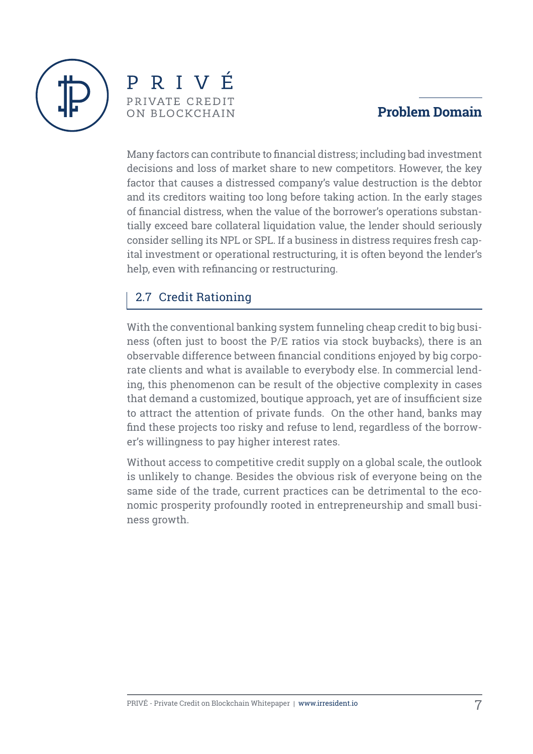



### **Problem Domain**

Many factors can contribute to financial distress; including bad investment decisions and loss of market share to new competitors. However, the key factor that causes a distressed company's value destruction is the debtor and its creditors waiting too long before taking action. In the early stages of financial distress, when the value of the borrower's operations substantially exceed bare collateral liquidation value, the lender should seriously consider selling its NPL or SPL. If a business in distress requires fresh capital investment or operational restructuring, it is often beyond the lender's help, even with refinancing or restructuring.

#### 2.7 Credit Rationing

With the conventional banking system funneling cheap credit to big business (often just to boost the P/E ratios via stock buybacks), there is an observable difference between financial conditions enjoyed by big corporate clients and what is available to everybody else. In commercial lending, this phenomenon can be result of the objective complexity in cases that demand a customized, boutique approach, yet are of insufficient size to attract the attention of private funds. On the other hand, banks may find these projects too risky and refuse to lend, regardless of the borrower's willingness to pay higher interest rates.

Without access to competitive credit supply on a global scale, the outlook is unlikely to change. Besides the obvious risk of everyone being on the same side of the trade, current practices can be detrimental to the economic prosperity profoundly rooted in entrepreneurship and small business growth.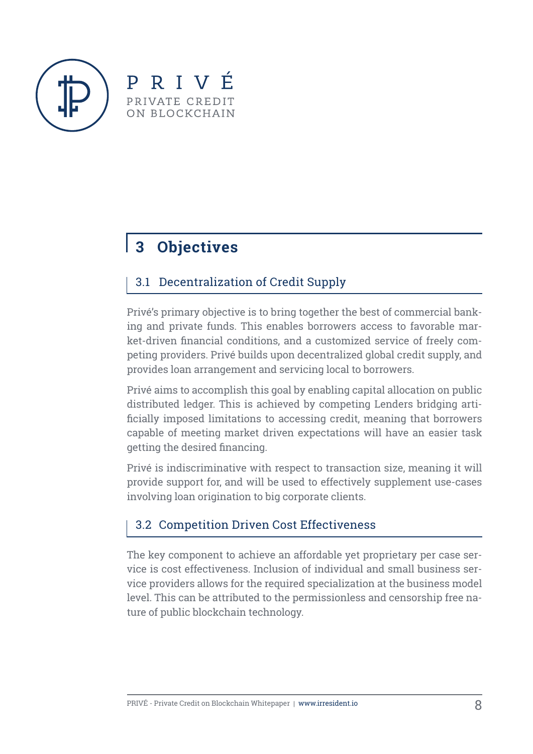



# **3 Objectives**

### 3.1 Decentralization of Credit Supply

Privé's primary objective is to bring together the best of commercial banking and private funds. This enables borrowers access to favorable market-driven financial conditions, and a customized service of freely competing providers. Privé builds upon decentralized global credit supply, and provides loan arrangement and servicing local to borrowers.

Privé aims to accomplish this goal by enabling capital allocation on public distributed ledger. This is achieved by competing Lenders bridging artificially imposed limitations to accessing credit, meaning that borrowers capable of meeting market driven expectations will have an easier task getting the desired financing.

Privé is indiscriminative with respect to transaction size, meaning it will provide support for, and will be used to effectively supplement use-cases involving loan origination to big corporate clients.

### 3.2 Competition Driven Cost Effectiveness

The key component to achieve an affordable yet proprietary per case service is cost effectiveness. Inclusion of individual and small business service providers allows for the required specialization at the business model level. This can be attributed to the permissionless and censorship free nature of public blockchain technology.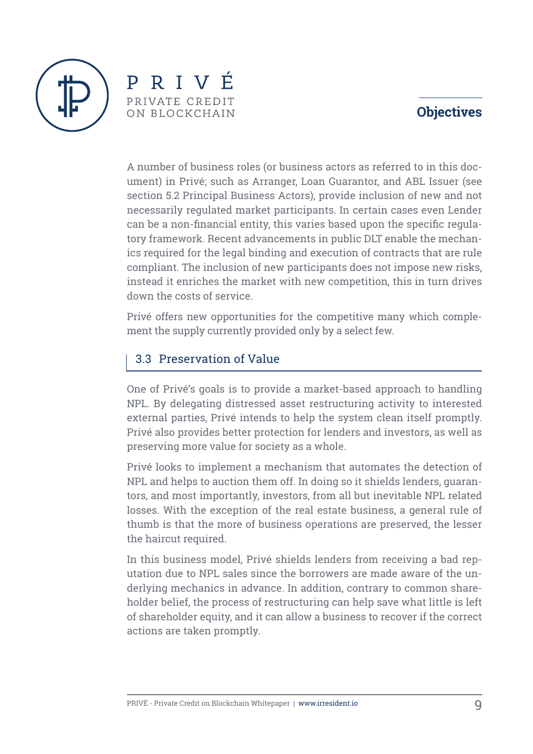## **Objectives**



PRIVÉ PRIVATE CREDIT ON BLOCKCHAIN

A number of business roles (or business actors as referred to in this document) in Privé; such as Arranger, Loan Guarantor, and ABL Issuer (see section 5.2 Principal Business Actors), provide inclusion of new and not necessarily regulated market participants. In certain cases even Lender can be a non-financial entity, this varies based upon the specific regulatory framework. Recent advancements in public DLT enable the mechanics required for the legal binding and execution of contracts that are rule compliant. The inclusion of new participants does not impose new risks, instead it enriches the market with new competition, this in turn drives down the costs of service.

Privé offers new opportunities for the competitive many which complement the supply currently provided only by a select few.

#### 3.3 Preservation of Value

One of Privé's goals is to provide a market-based approach to handling NPL. By delegating distressed asset restructuring activity to interested external parties, Privé intends to help the system clean itself promptly. Privé also provides better protection for lenders and investors, as well as preserving more value for society as a whole.

Privé looks to implement a mechanism that automates the detection of NPL and helps to auction them off. In doing so it shields lenders, guarantors, and most importantly, investors, from all but inevitable NPL related losses. With the exception of the real estate business, a general rule of thumb is that the more of business operations are preserved, the lesser the haircut required.

In this business model, Privé shields lenders from receiving a bad reputation due to NPL sales since the borrowers are made aware of the underlying mechanics in advance. In addition, contrary to common shareholder belief, the process of restructuring can help save what little is left of shareholder equity, and it can allow a business to recover if the correct actions are taken promptly.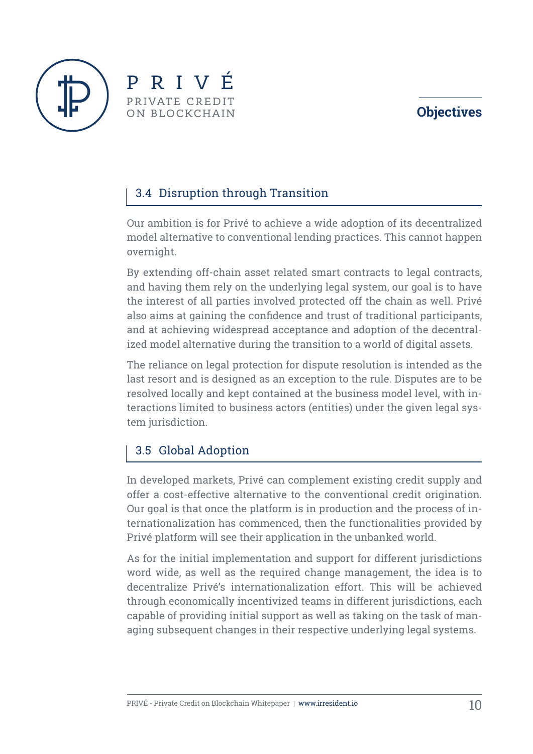# **Objectives**





# 3.4 Disruption through Transition

Our ambition is for Privé to achieve a wide adoption of its decentralized model alternative to conventional lending practices. This cannot happen overnight.

By extending off-chain asset related smart contracts to legal contracts, and having them rely on the underlying legal system, our goal is to have the interest of all parties involved protected off the chain as well. Privé also aims at gaining the confidence and trust of traditional participants, and at achieving widespread acceptance and adoption of the decentralized model alternative during the transition to a world of digital assets.

The reliance on legal protection for dispute resolution is intended as the last resort and is designed as an exception to the rule. Disputes are to be resolved locally and kept contained at the business model level, with interactions limited to business actors (entities) under the given legal system jurisdiction.

# 3.5 Global Adoption

In developed markets, Privé can complement existing credit supply and offer a cost-effective alternative to the conventional credit origination. Our goal is that once the platform is in production and the process of internationalization has commenced, then the functionalities provided by Privé platform will see their application in the unbanked world.

As for the initial implementation and support for different jurisdictions word wide, as well as the required change management, the idea is to decentralize Privé's internationalization effort. This will be achieved through economically incentivized teams in different jurisdictions, each capable of providing initial support as well as taking on the task of managing subsequent changes in their respective underlying legal systems.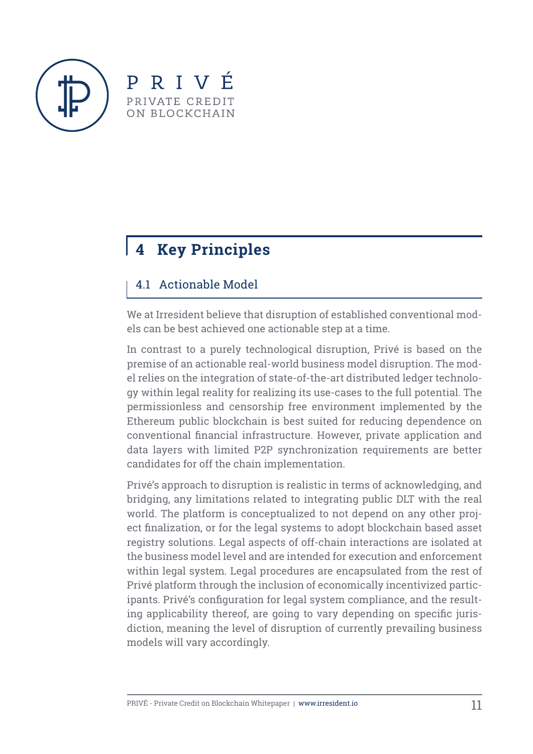



# 4.1 Actionable Model

We at Irresident believe that disruption of established conventional models can be best achieved one actionable step at a time.

In contrast to a purely technological disruption, Privé is based on the premise of an actionable real-world business model disruption. The model relies on the integration of state-of-the-art distributed ledger technology within legal reality for realizing its use-cases to the full potential. The permissionless and censorship free environment implemented by the Ethereum public blockchain is best suited for reducing dependence on conventional financial infrastructure. However, private application and data layers with limited P2P synchronization requirements are better candidates for off the chain implementation.

Privé's approach to disruption is realistic in terms of acknowledging, and bridging, any limitations related to integrating public DLT with the real world. The platform is conceptualized to not depend on any other project finalization, or for the legal systems to adopt blockchain based asset registry solutions. Legal aspects of off-chain interactions are isolated at the business model level and are intended for execution and enforcement within legal system. Legal procedures are encapsulated from the rest of Privé platform through the inclusion of economically incentivized participants. Privé's configuration for legal system compliance, and the resulting applicability thereof, are going to vary depending on specific jurisdiction, meaning the level of disruption of currently prevailing business models will vary accordingly.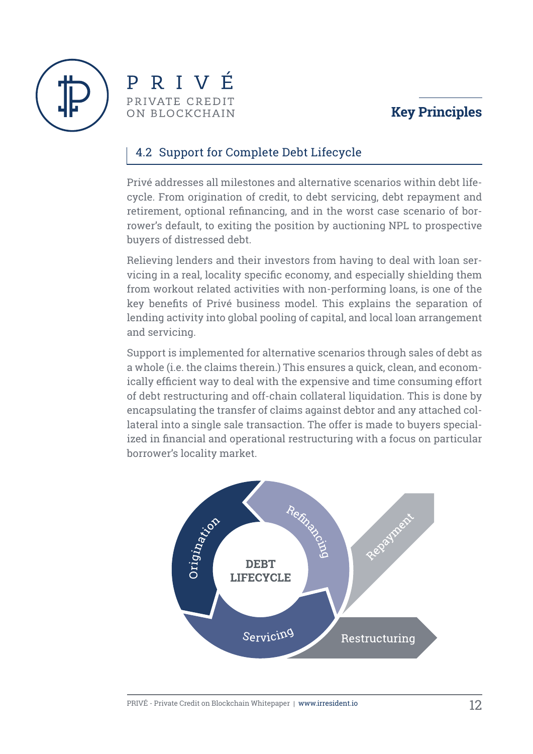





#### 4.2 Support for Complete Debt Lifecycle

Privé addresses all milestones and alternative scenarios within debt lifecycle. From origination of credit, to debt servicing, debt repayment and retirement, optional refinancing, and in the worst case scenario of borrower's default, to exiting the position by auctioning NPL to prospective buyers of distressed debt.

Relieving lenders and their investors from having to deal with loan servicing in a real, locality specific economy, and especially shielding them from workout related activities with non-performing loans, is one of the key benefits of Privé business model. This explains the separation of lending activity into global pooling of capital, and local loan arrangement and servicing.

Support is implemented for alternative scenarios through sales of debt as a whole (i.e. the claims therein.) This ensures a quick, clean, and economically efficient way to deal with the expensive and time consuming effort of debt restructuring and off-chain collateral liquidation. This is done by encapsulating the transfer of claims against debtor and any attached collateral into a single sale transaction. The offer is made to buyers specialized in financial and operational restructuring with a focus on particular borrower's locality market.

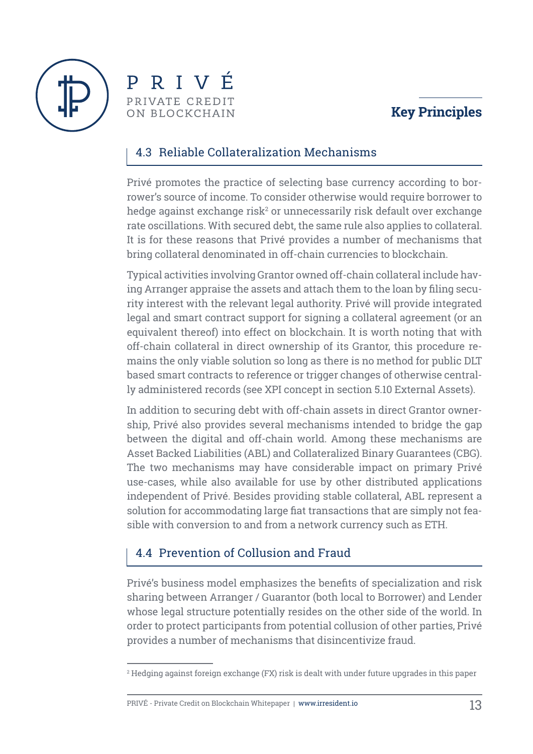



#### 4.3 Reliable Collateralization Mechanisms

Privé promotes the practice of selecting base currency according to borrower's source of income. To consider otherwise would require borrower to hedge against exchange risk $^{\rm 2}$  or unnecessarily risk default over exchange rate oscillations. With secured debt, the same rule also applies to collateral. It is for these reasons that Privé provides a number of mechanisms that bring collateral denominated in off-chain currencies to blockchain.

Typical activities involving Grantor owned off-chain collateral include having Arranger appraise the assets and attach them to the loan by filing security interest with the relevant legal authority. Privé will provide integrated legal and smart contract support for signing a collateral agreement (or an equivalent thereof) into effect on blockchain. It is worth noting that with off-chain collateral in direct ownership of its Grantor, this procedure remains the only viable solution so long as there is no method for public DLT based smart contracts to reference or trigger changes of otherwise centrally administered records (see XPI concept in section 5.10 External Assets).

In addition to securing debt with off-chain assets in direct Grantor ownership, Privé also provides several mechanisms intended to bridge the gap between the digital and off-chain world. Among these mechanisms are Asset Backed Liabilities (ABL) and Collateralized Binary Guarantees (CBG). The two mechanisms may have considerable impact on primary Privé use-cases, while also available for use by other distributed applications independent of Privé. Besides providing stable collateral, ABL represent a solution for accommodating large fiat transactions that are simply not feasible with conversion to and from a network currency such as ETH.

#### 4.4 Prevention of Collusion and Fraud

Privé's business model emphasizes the benefits of specialization and risk sharing between Arranger / Guarantor (both local to Borrower) and Lender whose legal structure potentially resides on the other side of the world. In order to protect participants from potential collusion of other parties, Privé provides a number of mechanisms that disincentivize fraud.

 $^{\rm 2}$  Hedging against foreign exchange (FX) risk is dealt with under future upgrades in this paper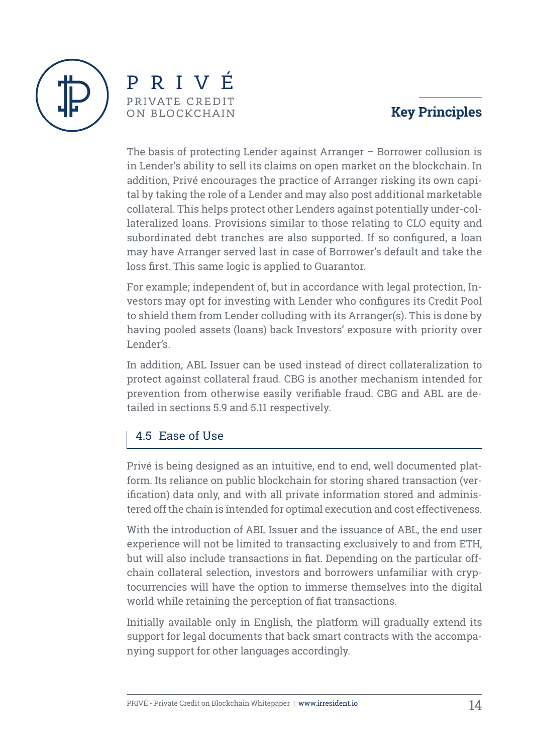



The basis of protecting Lender against Arranger – Borrower collusion is in Lender's ability to sell its claims on open market on the blockchain. In addition, Privé encourages the practice of Arranger risking its own capital by taking the role of a Lender and may also post additional marketable collateral. This helps protect other Lenders against potentially under-collateralized loans. Provisions similar to those relating to CLO equity and subordinated debt tranches are also supported. If so configured, a loan may have Arranger served last in case of Borrower's default and take the loss first. This same logic is applied to Guarantor.

For example; independent of, but in accordance with legal protection, Investors may opt for investing with Lender who configures its Credit Pool to shield them from Lender colluding with its Arranger(s). This is done by having pooled assets (loans) back Investors' exposure with priority over Lender's.

In addition, ABL Issuer can be used instead of direct collateralization to protect against collateral fraud. CBG is another mechanism intended for prevention from otherwise easily verifiable fraud. CBG and ABL are detailed in sections 5.9 and 5.11 respectively.

### 4.5 Ease of Use

Privé is being designed as an intuitive, end to end, well documented platform. Its reliance on public blockchain for storing shared transaction (verification) data only, and with all private information stored and administered off the chain is intended for optimal execution and cost effectiveness.

With the introduction of ABL Issuer and the issuance of ABL, the end user experience will not be limited to transacting exclusively to and from ETH, but will also include transactions in fiat. Depending on the particular offchain collateral selection, investors and borrowers unfamiliar with cryptocurrencies will have the option to immerse themselves into the digital world while retaining the perception of fiat transactions.

Initially available only in English, the platform will gradually extend its support for legal documents that back smart contracts with the accompanying support for other languages accordingly.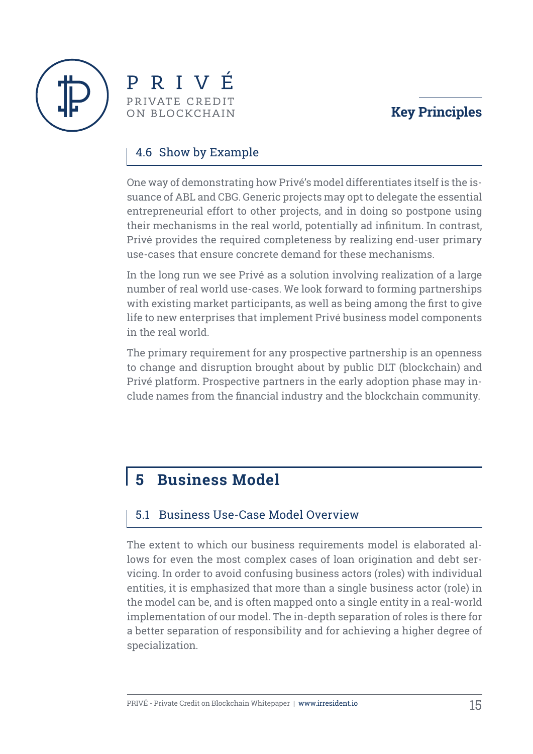



#### 4.6 Show by Example

One way of demonstrating how Privé's model differentiates itself is the issuance of ABL and CBG. Generic projects may opt to delegate the essential entrepreneurial effort to other projects, and in doing so postpone using their mechanisms in the real world, potentially ad infinitum. In contrast, Privé provides the required completeness by realizing end-user primary use-cases that ensure concrete demand for these mechanisms.

In the long run we see Privé as a solution involving realization of a large number of real world use-cases. We look forward to forming partnerships with existing market participants, as well as being among the first to give life to new enterprises that implement Privé business model components in the real world.

The primary requirement for any prospective partnership is an openness to change and disruption brought about by public DLT (blockchain) and Privé platform. Prospective partners in the early adoption phase may include names from the financial industry and the blockchain community.

# **5 Business Model**

#### 5.1 Business Use-Case Model Overview

The extent to which our business requirements model is elaborated allows for even the most complex cases of loan origination and debt servicing. In order to avoid confusing business actors (roles) with individual entities, it is emphasized that more than a single business actor (role) in the model can be, and is often mapped onto a single entity in a real-world implementation of our model. The in-depth separation of roles is there for a better separation of responsibility and for achieving a higher degree of specialization.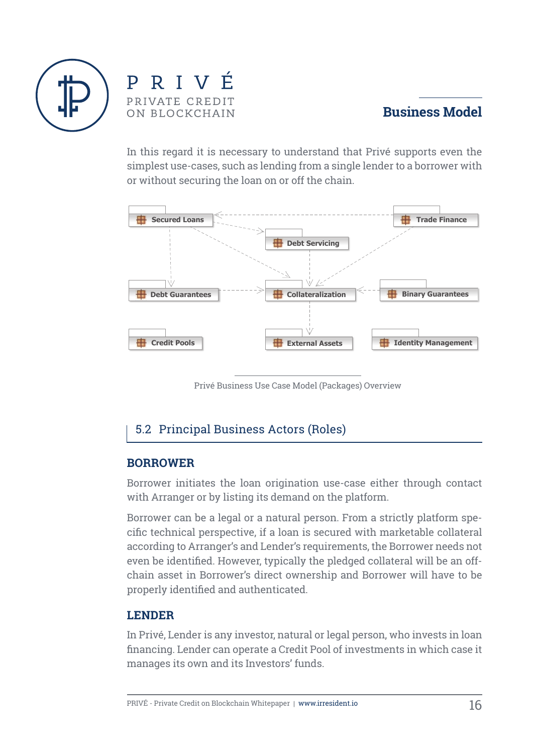



In this regard it is necessary to understand that Privé supports even the simplest use-cases, such as lending from a single lender to a borrower with or without securing the loan on or off the chain.



Privé Business Use Case Model (Packages) Overview

#### 5.2 Principal Business Actors (Roles)

#### **BORROWER**

Borrower initiates the loan origination use-case either through contact with Arranger or by listing its demand on the platform.

Borrower can be a legal or a natural person. From a strictly platform specific technical perspective, if a loan is secured with marketable collateral according to Arranger's and Lender's requirements, the Borrower needs not even be identified. However, typically the pledged collateral will be an offchain asset in Borrower's direct ownership and Borrower will have to be properly identified and authenticated.

#### **LENDER**

In Privé, Lender is any investor, natural or legal person, who invests in loan financing. Lender can operate a Credit Pool of investments in which case it manages its own and its Investors' funds.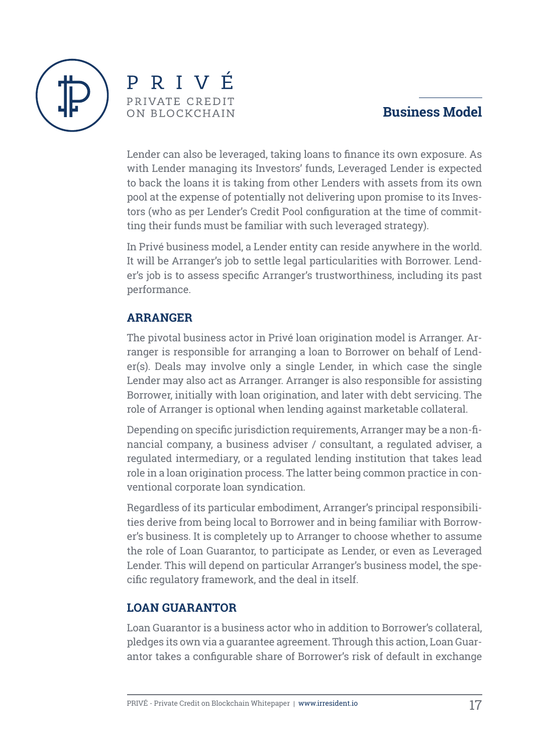



Lender can also be leveraged, taking loans to finance its own exposure. As with Lender managing its Investors' funds, Leveraged Lender is expected to back the loans it is taking from other Lenders with assets from its own pool at the expense of potentially not delivering upon promise to its Investors (who as per Lender's Credit Pool configuration at the time of committing their funds must be familiar with such leveraged strategy).

In Privé business model, a Lender entity can reside anywhere in the world. It will be Arranger's job to settle legal particularities with Borrower. Lender's job is to assess specific Arranger's trustworthiness, including its past performance.

#### **ARRANGER**

The pivotal business actor in Privé loan origination model is Arranger. Arranger is responsible for arranging a loan to Borrower on behalf of Lender(s). Deals may involve only a single Lender, in which case the single Lender may also act as Arranger. Arranger is also responsible for assisting Borrower, initially with loan origination, and later with debt servicing. The role of Arranger is optional when lending against marketable collateral.

Depending on specific jurisdiction requirements, Arranger may be a non-financial company, a business adviser / consultant, a regulated adviser, a regulated intermediary, or a regulated lending institution that takes lead role in a loan origination process. The latter being common practice in conventional corporate loan syndication.

Regardless of its particular embodiment, Arranger's principal responsibilities derive from being local to Borrower and in being familiar with Borrower's business. It is completely up to Arranger to choose whether to assume the role of Loan Guarantor, to participate as Lender, or even as Leveraged Lender. This will depend on particular Arranger's business model, the specific regulatory framework, and the deal in itself.

#### **LOAN GUARANTOR**

Loan Guarantor is a business actor who in addition to Borrower's collateral, pledges its own via a guarantee agreement. Through this action, Loan Guarantor takes a configurable share of Borrower's risk of default in exchange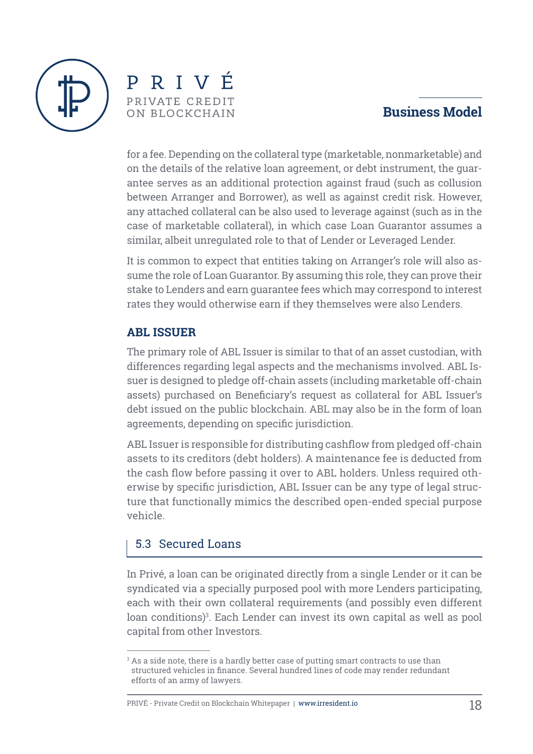



for a fee. Depending on the collateral type (marketable, nonmarketable) and on the details of the relative loan agreement, or debt instrument, the guarantee serves as an additional protection against fraud (such as collusion between Arranger and Borrower), as well as against credit risk. However, any attached collateral can be also used to leverage against (such as in the case of marketable collateral), in which case Loan Guarantor assumes a similar, albeit unregulated role to that of Lender or Leveraged Lender.

It is common to expect that entities taking on Arranger's role will also assume the role of Loan Guarantor. By assuming this role, they can prove their stake to Lenders and earn guarantee fees which may correspond to interest rates they would otherwise earn if they themselves were also Lenders.

#### **ABL ISSUER**

The primary role of ABL Issuer is similar to that of an asset custodian, with differences regarding legal aspects and the mechanisms involved. ABL Issuer is designed to pledge off-chain assets (including marketable off-chain assets) purchased on Beneficiary's request as collateral for ABL Issuer's debt issued on the public blockchain. ABL may also be in the form of loan agreements, depending on specific jurisdiction.

ABL Issuer is responsible for distributing cashflow from pledged off-chain assets to its creditors (debt holders). A maintenance fee is deducted from the cash flow before passing it over to ABL holders. Unless required otherwise by specific jurisdiction, ABL Issuer can be any type of legal structure that functionally mimics the described open-ended special purpose vehicle.

#### 5.3 Secured Loans

In Privé, a loan can be originated directly from a single Lender or it can be syndicated via a specially purposed pool with more Lenders participating, each with their own collateral requirements (and possibly even different loan conditions)3 . Each Lender can invest its own capital as well as pool capital from other Investors.

 $\,{}^{3}$  As a side note, there is a hardly better case of putting smart contracts to use than structured vehicles in finance. Several hundred lines of code may render redundant efforts of an army of lawyers.

PRIVÉ - Private Credit on Blockchain Whitepaper **|** www.irresident.io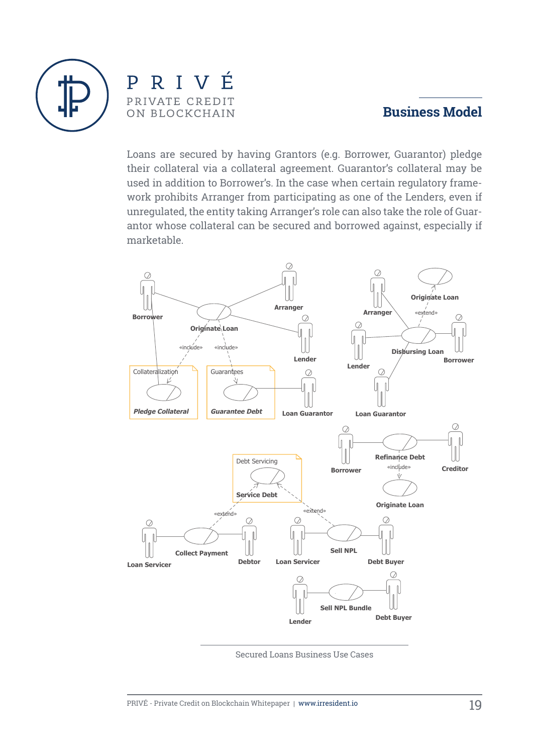

PRIVÉ PRIVATE CREDIT ON BLOCKCHAIN

#### **Business Model**

Loans are secured by having Grantors (e.g. Borrower, Guarantor) pledge their collateral via a collateral agreement. Guarantor's collateral may be used in addition to Borrower's. In the case when certain regulatory framework prohibits Arranger from participating as one of the Lenders, even if unregulated, the entity taking Arranger's role can also take the role of Guarantor whose collateral can be secured and borrowed against, especially if marketable.



Secured Loans Business Use Cases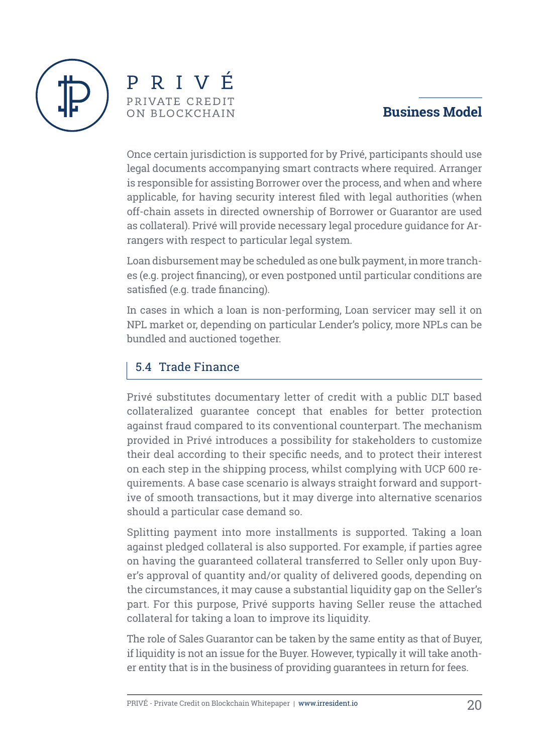

PRIVÉ PRIVATE CREDIT ON BLOCKCHAIN

# **Business Model**

Once certain jurisdiction is supported for by Privé, participants should use legal documents accompanying smart contracts where required. Arranger is responsible for assisting Borrower over the process, and when and where applicable, for having security interest filed with legal authorities (when off-chain assets in directed ownership of Borrower or Guarantor are used as collateral). Privé will provide necessary legal procedure guidance for Arrangers with respect to particular legal system.

Loan disbursement may be scheduled as one bulk payment, in more tranches (e.g. project financing), or even postponed until particular conditions are satisfied (e.g. trade financing).

In cases in which a loan is non-performing, Loan servicer may sell it on NPL market or, depending on particular Lender's policy, more NPLs can be bundled and auctioned together.

### 5.4 Trade Finance

Privé substitutes documentary letter of credit with a public DLT based collateralized guarantee concept that enables for better protection against fraud compared to its conventional counterpart. The mechanism provided in Privé introduces a possibility for stakeholders to customize their deal according to their specific needs, and to protect their interest on each step in the shipping process, whilst complying with UCP 600 requirements. A base case scenario is always straight forward and supportive of smooth transactions, but it may diverge into alternative scenarios should a particular case demand so.

Splitting payment into more installments is supported. Taking a loan against pledged collateral is also supported. For example, if parties agree on having the guaranteed collateral transferred to Seller only upon Buyer's approval of quantity and/or quality of delivered goods, depending on the circumstances, it may cause a substantial liquidity gap on the Seller's part. For this purpose, Privé supports having Seller reuse the attached collateral for taking a loan to improve its liquidity.

The role of Sales Guarantor can be taken by the same entity as that of Buyer, if liquidity is not an issue for the Buyer. However, typically it will take another entity that is in the business of providing guarantees in return for fees.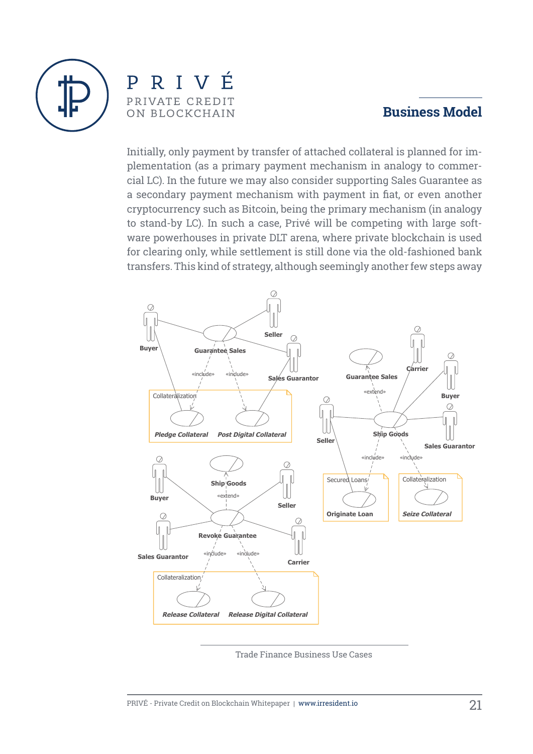

RIVÉ  $\mathbf{p}$ PRIVATE CREDIT ON BLOCKCHAIN

#### **Business Model**

Initially, only payment by transfer of attached collateral is planned for implementation (as a primary payment mechanism in analogy to commercial LC). In the future we may also consider supporting Sales Guarantee as a secondary payment mechanism with payment in fiat, or even another cryptocurrency such as Bitcoin, being the primary mechanism (in analogy to stand-by LC). In such a case, Privé will be competing with large software powerhouses in private DLT arena, where private blockchain is used for clearing only, while settlement is still done via the old-fashioned bank transfers. This kind of strategy, although seemingly another few steps away



Trade Finance Business Use Cases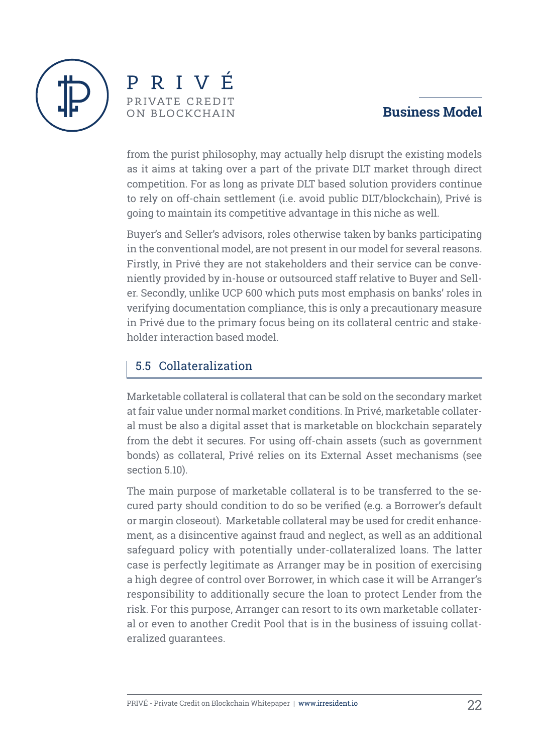



from the purist philosophy, may actually help disrupt the existing models as it aims at taking over a part of the private DLT market through direct competition. For as long as private DLT based solution providers continue to rely on off-chain settlement (i.e. avoid public DLT/blockchain), Privé is going to maintain its competitive advantage in this niche as well.

Buyer's and Seller's advisors, roles otherwise taken by banks participating in the conventional model, are not present in our model for several reasons. Firstly, in Privé they are not stakeholders and their service can be conveniently provided by in-house or outsourced staff relative to Buyer and Seller. Secondly, unlike UCP 600 which puts most emphasis on banks' roles in verifying documentation compliance, this is only a precautionary measure in Privé due to the primary focus being on its collateral centric and stakeholder interaction based model.

#### 5.5 Collateralization

Marketable collateral is collateral that can be sold on the secondary market at fair value under normal market conditions. In Privé, marketable collateral must be also a digital asset that is marketable on blockchain separately from the debt it secures. For using off-chain assets (such as government bonds) as collateral, Privé relies on its External Asset mechanisms (see section 5.10).

The main purpose of marketable collateral is to be transferred to the secured party should condition to do so be verified (e.g. a Borrower's default or margin closeout). Marketable collateral may be used for credit enhancement, as a disincentive against fraud and neglect, as well as an additional safeguard policy with potentially under-collateralized loans. The latter case is perfectly legitimate as Arranger may be in position of exercising a high degree of control over Borrower, in which case it will be Arranger's responsibility to additionally secure the loan to protect Lender from the risk. For this purpose, Arranger can resort to its own marketable collateral or even to another Credit Pool that is in the business of issuing collateralized guarantees.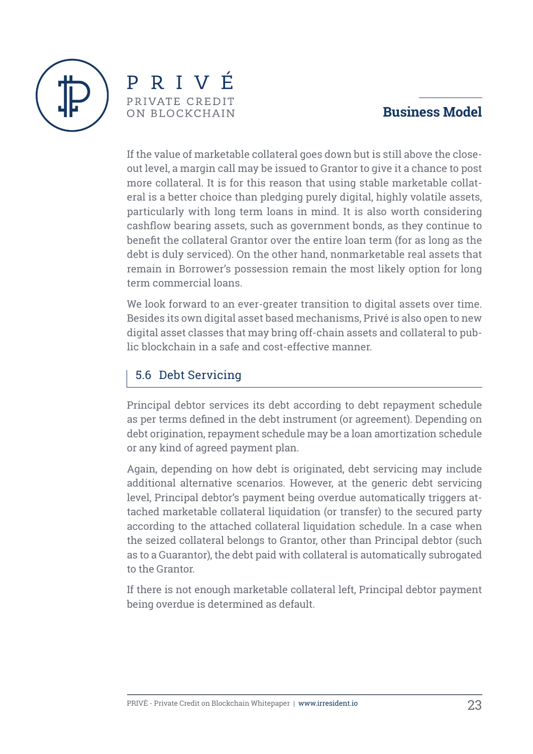



If the value of marketable collateral goes down but is still above the closeout level, a margin call may be issued to Grantor to give it a chance to post more collateral. It is for this reason that using stable marketable collateral is a better choice than pledging purely digital, highly volatile assets, particularly with long term loans in mind. It is also worth considering cashflow bearing assets, such as government bonds, as they continue to benefit the collateral Grantor over the entire loan term (for as long as the debt is duly serviced). On the other hand, nonmarketable real assets that remain in Borrower's possession remain the most likely option for long term commercial loans.

We look forward to an ever-greater transition to digital assets over time. Besides its own digital asset based mechanisms, Privé is also open to new digital asset classes that may bring off-chain assets and collateral to public blockchain in a safe and cost-effective manner.

# 5.6 Debt Servicing

Principal debtor services its debt according to debt repayment schedule as per terms defined in the debt instrument (or agreement). Depending on debt origination, repayment schedule may be a loan amortization schedule or any kind of agreed payment plan.

Again, depending on how debt is originated, debt servicing may include additional alternative scenarios. However, at the generic debt servicing level, Principal debtor's payment being overdue automatically triggers attached marketable collateral liquidation (or transfer) to the secured party according to the attached collateral liquidation schedule. In a case when the seized collateral belongs to Grantor, other than Principal debtor (such as to a Guarantor), the debt paid with collateral is automatically subrogated to the Grantor.

If there is not enough marketable collateral left, Principal debtor payment being overdue is determined as default.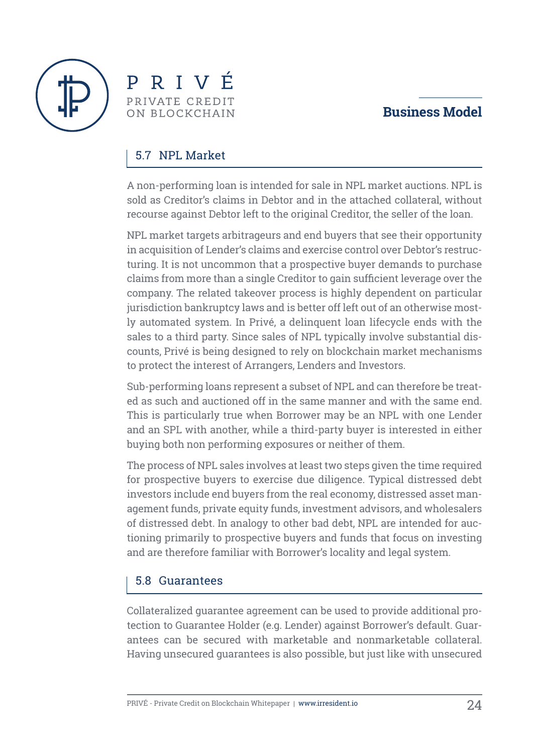



#### 5.7 NPL Market

A non-performing loan is intended for sale in NPL market auctions. NPL is sold as Creditor's claims in Debtor and in the attached collateral, without recourse against Debtor left to the original Creditor, the seller of the loan.

NPL market targets arbitrageurs and end buyers that see their opportunity in acquisition of Lender's claims and exercise control over Debtor's restructuring. It is not uncommon that a prospective buyer demands to purchase claims from more than a single Creditor to gain sufficient leverage over the company. The related takeover process is highly dependent on particular jurisdiction bankruptcy laws and is better off left out of an otherwise mostly automated system. In Privé, a delinquent loan lifecycle ends with the sales to a third party. Since sales of NPL typically involve substantial discounts, Privé is being designed to rely on blockchain market mechanisms to protect the interest of Arrangers, Lenders and Investors.

Sub-performing loans represent a subset of NPL and can therefore be treated as such and auctioned off in the same manner and with the same end. This is particularly true when Borrower may be an NPL with one Lender and an SPL with another, while a third-party buyer is interested in either buying both non performing exposures or neither of them.

The process of NPL sales involves at least two steps given the time required for prospective buyers to exercise due diligence. Typical distressed debt investors include end buyers from the real economy, distressed asset management funds, private equity funds, investment advisors, and wholesalers of distressed debt. In analogy to other bad debt, NPL are intended for auctioning primarily to prospective buyers and funds that focus on investing and are therefore familiar with Borrower's locality and legal system.

#### 5.8 Guarantees

Collateralized guarantee agreement can be used to provide additional protection to Guarantee Holder (e.g. Lender) against Borrower's default. Guarantees can be secured with marketable and nonmarketable collateral. Having unsecured guarantees is also possible, but just like with unsecured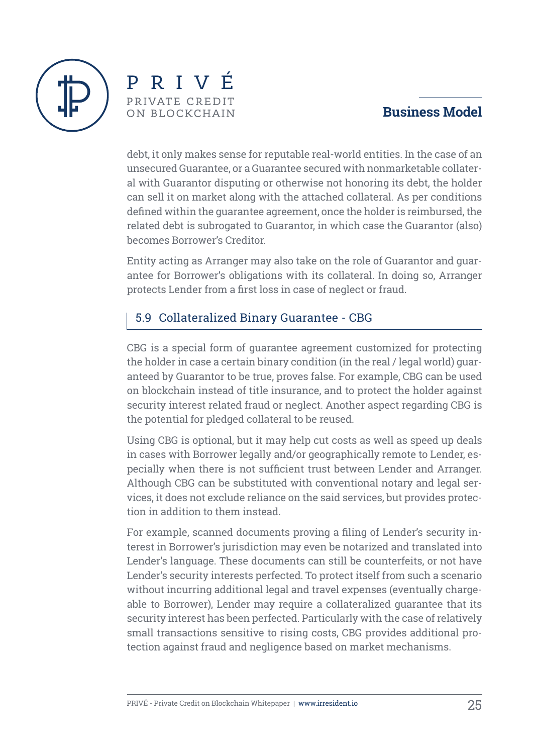



debt, it only makes sense for reputable real-world entities. In the case of an unsecured Guarantee, or a Guarantee secured with nonmarketable collateral with Guarantor disputing or otherwise not honoring its debt, the holder can sell it on market along with the attached collateral. As per conditions defined within the guarantee agreement, once the holder is reimbursed, the related debt is subrogated to Guarantor, in which case the Guarantor (also) becomes Borrower's Creditor.

Entity acting as Arranger may also take on the role of Guarantor and guarantee for Borrower's obligations with its collateral. In doing so, Arranger protects Lender from a first loss in case of neglect or fraud.

#### 5.9 Collateralized Binary Guarantee - CBG

CBG is a special form of guarantee agreement customized for protecting the holder in case a certain binary condition (in the real / legal world) guaranteed by Guarantor to be true, proves false. For example, CBG can be used on blockchain instead of title insurance, and to protect the holder against security interest related fraud or neglect. Another aspect regarding CBG is the potential for pledged collateral to be reused.

Using CBG is optional, but it may help cut costs as well as speed up deals in cases with Borrower legally and/or geographically remote to Lender, especially when there is not sufficient trust between Lender and Arranger. Although CBG can be substituted with conventional notary and legal services, it does not exclude reliance on the said services, but provides protection in addition to them instead.

For example, scanned documents proving a filing of Lender's security interest in Borrower's jurisdiction may even be notarized and translated into Lender's language. These documents can still be counterfeits, or not have Lender's security interests perfected. To protect itself from such a scenario without incurring additional legal and travel expenses (eventually chargeable to Borrower), Lender may require a collateralized guarantee that its security interest has been perfected. Particularly with the case of relatively small transactions sensitive to rising costs, CBG provides additional protection against fraud and negligence based on market mechanisms.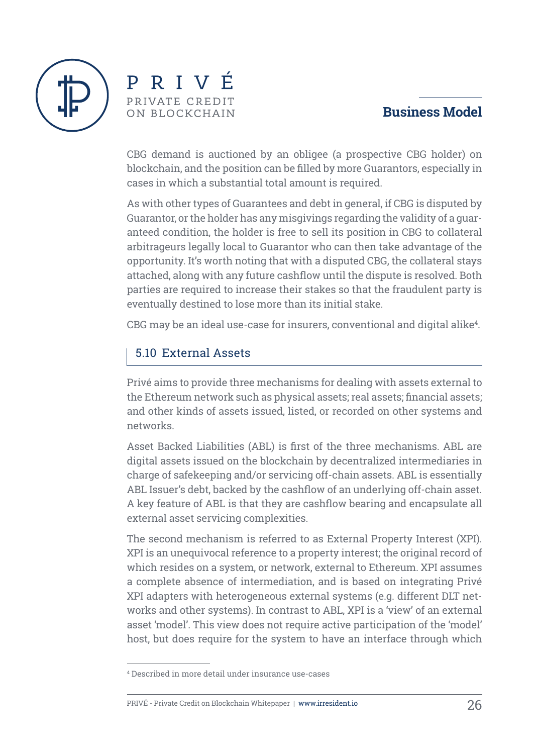



CBG demand is auctioned by an obligee (a prospective CBG holder) on blockchain, and the position can be filled by more Guarantors, especially in cases in which a substantial total amount is required.

As with other types of Guarantees and debt in general, if CBG is disputed by Guarantor, or the holder has any misgivings regarding the validity of a guaranteed condition, the holder is free to sell its position in CBG to collateral arbitrageurs legally local to Guarantor who can then take advantage of the opportunity. It's worth noting that with a disputed CBG, the collateral stays attached, along with any future cashflow until the dispute is resolved. Both parties are required to increase their stakes so that the fraudulent party is eventually destined to lose more than its initial stake.

 $\rm{CBG}$  may be an ideal use-case for insurers, conventional and digital alike $^4$ .

#### 5.10 External Assets

Privé aims to provide three mechanisms for dealing with assets external to the Ethereum network such as physical assets; real assets; financial assets; and other kinds of assets issued, listed, or recorded on other systems and networks.

Asset Backed Liabilities (ABL) is first of the three mechanisms. ABL are digital assets issued on the blockchain by decentralized intermediaries in charge of safekeeping and/or servicing off-chain assets. ABL is essentially ABL Issuer's debt, backed by the cashflow of an underlying off-chain asset. A key feature of ABL is that they are cashflow bearing and encapsulate all external asset servicing complexities.

The second mechanism is referred to as External Property Interest (XPI). XPI is an unequivocal reference to a property interest; the original record of which resides on a system, or network, external to Ethereum. XPI assumes a complete absence of intermediation, and is based on integrating Privé XPI adapters with heterogeneous external systems (e.g. different DLT networks and other systems). In contrast to ABL, XPI is a 'view' of an external asset 'model'. This view does not require active participation of the 'model' host, but does require for the system to have an interface through which

<sup>4</sup> Described in more detail under insurance use-cases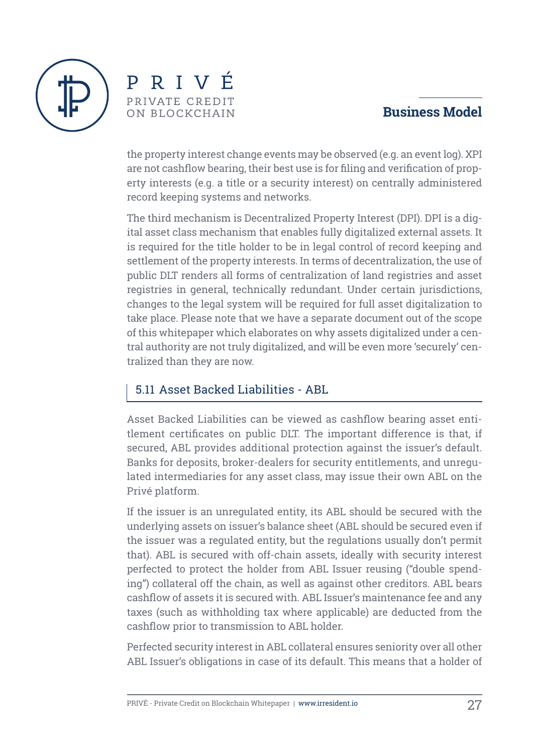



the property interest change events may be observed (e.g. an event log). XPI are not cashflow bearing, their best use is for filing and verification of property interests (e.g. a title or a security interest) on centrally administered record keeping systems and networks.

The third mechanism is Decentralized Property Interest (DPI). DPI is a digital asset class mechanism that enables fully digitalized external assets. It is required for the title holder to be in legal control of record keeping and settlement of the property interests. In terms of decentralization, the use of public DLT renders all forms of centralization of land registries and asset registries in general, technically redundant. Under certain jurisdictions, changes to the legal system will be required for full asset digitalization to take place. Please note that we have a separate document out of the scope of this whitepaper which elaborates on why assets digitalized under a central authority are not truly digitalized, and will be even more 'securely' centralized than they are now.

#### 5.11 Asset Backed Liabilities - ABL

Asset Backed Liabilities can be viewed as cashflow bearing asset entitlement certificates on public DLT. The important difference is that, if secured, ABL provides additional protection against the issuer's default. Banks for deposits, broker-dealers for security entitlements, and unregulated intermediaries for any asset class, may issue their own ABL on the Privé platform.

If the issuer is an unregulated entity, its ABL should be secured with the underlying assets on issuer's balance sheet (ABL should be secured even if the issuer was a regulated entity, but the regulations usually don't permit that). ABL is secured with off-chain assets, ideally with security interest perfected to protect the holder from ABL Issuer reusing ("double spending") collateral off the chain, as well as against other creditors. ABL bears cashflow of assets it is secured with. ABL Issuer's maintenance fee and any taxes (such as withholding tax where applicable) are deducted from the cashflow prior to transmission to ABL holder.

Perfected security interest in ABL collateral ensures seniority over all other ABL Issuer's obligations in case of its default. This means that a holder of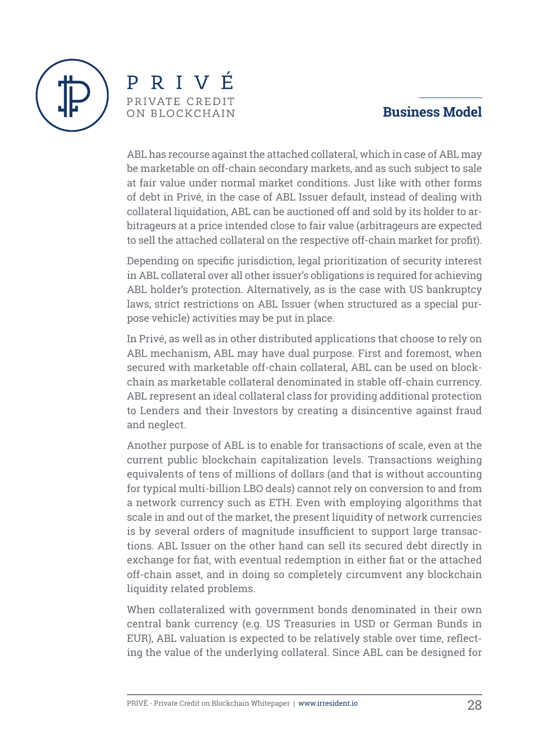



ABL has recourse against the attached collateral, which in case of ABL may be marketable on off-chain secondary markets, and as such subject to sale at fair value under normal market conditions. Just like with other forms of debt in Privé, in the case of ABL Issuer default, instead of dealing with collateral liquidation, ABL can be auctioned off and sold by its holder to arbitrageurs at a price intended close to fair value (arbitrageurs are expected to sell the attached collateral on the respective off-chain market for profit).

Depending on specific jurisdiction, legal prioritization of security interest in ABL collateral over all other issuer's obligations is required for achieving ABL holder's protection. Alternatively, as is the case with US bankruptcy laws, strict restrictions on ABL Issuer (when structured as a special purpose vehicle) activities may be put in place.

In Privé, as well as in other distributed applications that choose to rely on ABL mechanism, ABL may have dual purpose. First and foremost, when secured with marketable off-chain collateral, ABL can be used on blockchain as marketable collateral denominated in stable off-chain currency. ABL represent an ideal collateral class for providing additional protection to Lenders and their Investors by creating a disincentive against fraud and neglect.

Another purpose of ABL is to enable for transactions of scale, even at the current public blockchain capitalization levels. Transactions weighing equivalents of tens of millions of dollars (and that is without accounting for typical multi-billion LBO deals) cannot rely on conversion to and from a network currency such as ETH. Even with employing algorithms that scale in and out of the market, the present liquidity of network currencies is by several orders of magnitude insufficient to support large transactions. ABL Issuer on the other hand can sell its secured debt directly in exchange for fiat, with eventual redemption in either fiat or the attached off-chain asset, and in doing so completely circumvent any blockchain liquidity related problems.

When collateralized with government bonds denominated in their own central bank currency (e.g. US Treasuries in USD or German Bunds in EUR), ABL valuation is expected to be relatively stable over time, reflecting the value of the underlying collateral. Since ABL can be designed for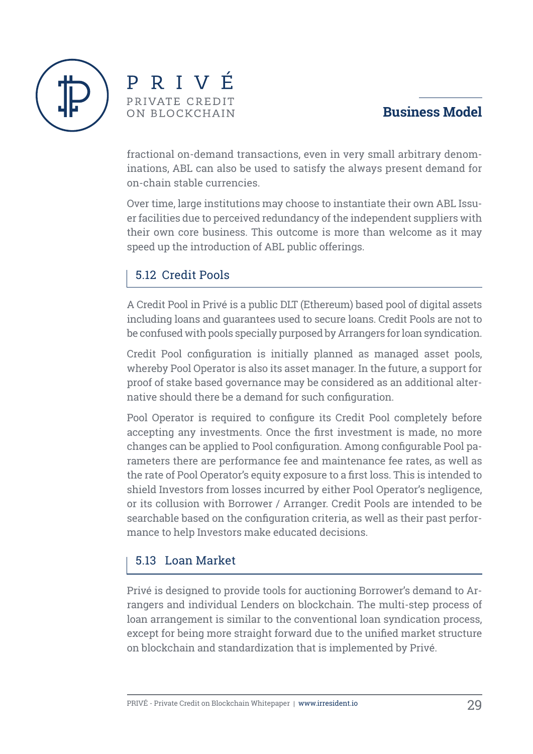



fractional on-demand transactions, even in very small arbitrary denominations, ABL can also be used to satisfy the always present demand for on-chain stable currencies.

Over time, large institutions may choose to instantiate their own ABL Issuer facilities due to perceived redundancy of the independent suppliers with their own core business. This outcome is more than welcome as it may speed up the introduction of ABL public offerings.

#### 5.12 Credit Pools

A Credit Pool in Privé is a public DLT (Ethereum) based pool of digital assets including loans and guarantees used to secure loans. Credit Pools are not to be confused with pools specially purposed by Arrangers for loan syndication.

Credit Pool configuration is initially planned as managed asset pools, whereby Pool Operator is also its asset manager. In the future, a support for proof of stake based governance may be considered as an additional alternative should there be a demand for such configuration.

Pool Operator is required to configure its Credit Pool completely before accepting any investments. Once the first investment is made, no more changes can be applied to Pool configuration. Among configurable Pool parameters there are performance fee and maintenance fee rates, as well as the rate of Pool Operator's equity exposure to a first loss. This is intended to shield Investors from losses incurred by either Pool Operator's negligence, or its collusion with Borrower / Arranger. Credit Pools are intended to be searchable based on the configuration criteria, as well as their past performance to help Investors make educated decisions.

#### 5.13 Loan Market

Privé is designed to provide tools for auctioning Borrower's demand to Arrangers and individual Lenders on blockchain. The multi-step process of loan arrangement is similar to the conventional loan syndication process, except for being more straight forward due to the unified market structure on blockchain and standardization that is implemented by Privé.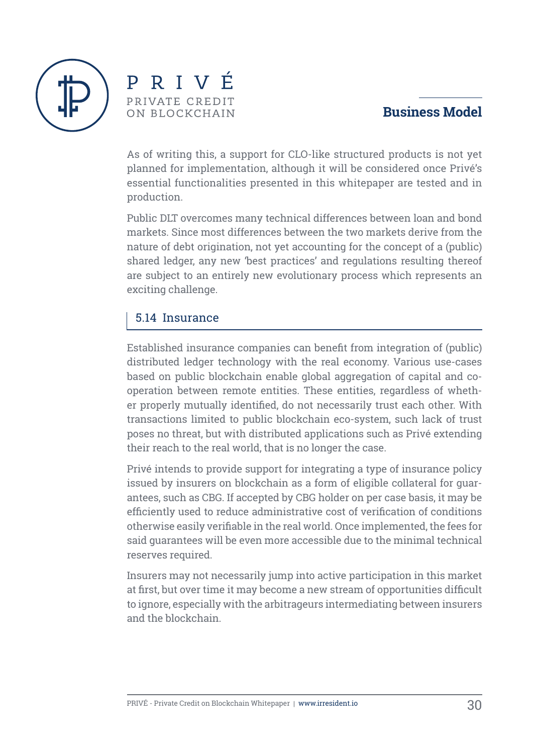



As of writing this, a support for CLO-like structured products is not yet planned for implementation, although it will be considered once Privé's essential functionalities presented in this whitepaper are tested and in production.

Public DLT overcomes many technical differences between loan and bond markets. Since most differences between the two markets derive from the nature of debt origination, not yet accounting for the concept of a (public) shared ledger, any new 'best practices' and regulations resulting thereof are subject to an entirely new evolutionary process which represents an exciting challenge.

#### 5.14 Insurance

Established insurance companies can benefit from integration of (public) distributed ledger technology with the real economy. Various use-cases based on public blockchain enable global aggregation of capital and cooperation between remote entities. These entities, regardless of whether properly mutually identified, do not necessarily trust each other. With transactions limited to public blockchain eco-system, such lack of trust poses no threat, but with distributed applications such as Privé extending their reach to the real world, that is no longer the case.

Privé intends to provide support for integrating a type of insurance policy issued by insurers on blockchain as a form of eligible collateral for guarantees, such as CBG. If accepted by CBG holder on per case basis, it may be efficiently used to reduce administrative cost of verification of conditions otherwise easily verifiable in the real world. Once implemented, the fees for said guarantees will be even more accessible due to the minimal technical reserves required.

Insurers may not necessarily jump into active participation in this market at first, but over time it may become a new stream of opportunities difficult to ignore, especially with the arbitrageurs intermediating between insurers and the blockchain.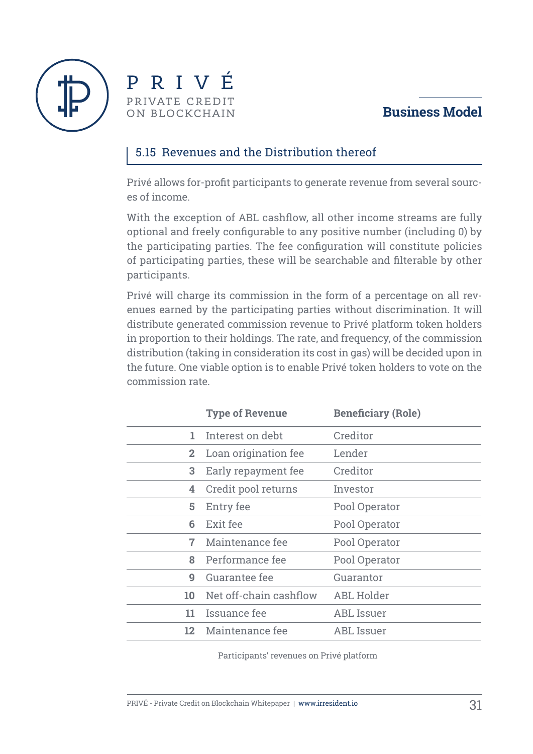



#### 5.15 Revenues and the Distribution thereof

Privé allows for-profit participants to generate revenue from several sources of income.

With the exception of ABL cashflow, all other income streams are fully optional and freely configurable to any positive number (including 0) by the participating parties. The fee configuration will constitute policies of participating parties, these will be searchable and filterable by other participants.

Privé will charge its commission in the form of a percentage on all revenues earned by the participating parties without discrimination. It will distribute generated commission revenue to Privé platform token holders in proportion to their holdings. The rate, and frequency, of the commission distribution (taking in consideration its cost in gas) will be decided upon in the future. One viable option is to enable Privé token holders to vote on the commission rate.

|                 | <b>Type of Revenue</b> | <b>Beneficiary (Role)</b> |
|-----------------|------------------------|---------------------------|
| 1.              | Interest on debt       | Creditor                  |
| $\mathbf{2}$    | Loan origination fee   | Lender                    |
| 3               | Early repayment fee    | Creditor                  |
| 4               | Credit pool returns    | Investor                  |
| 5               | Entry fee              | Pool Operator             |
| 6               | Exit fee               | Pool Operator             |
| 7               | Maintenance fee        | Pool Operator             |
| 8               | Performance fee        | Pool Operator             |
| 9               | Guarantee fee          | Guarantor                 |
| 10              | Net off-chain cashflow | <b>ABL Holder</b>         |
| 11              | Issuance fee           | <b>ABL Issuer</b>         |
| 12 <sub>1</sub> | Maintenance fee        | ABL Issuer                |

Participants' revenues on Privé platform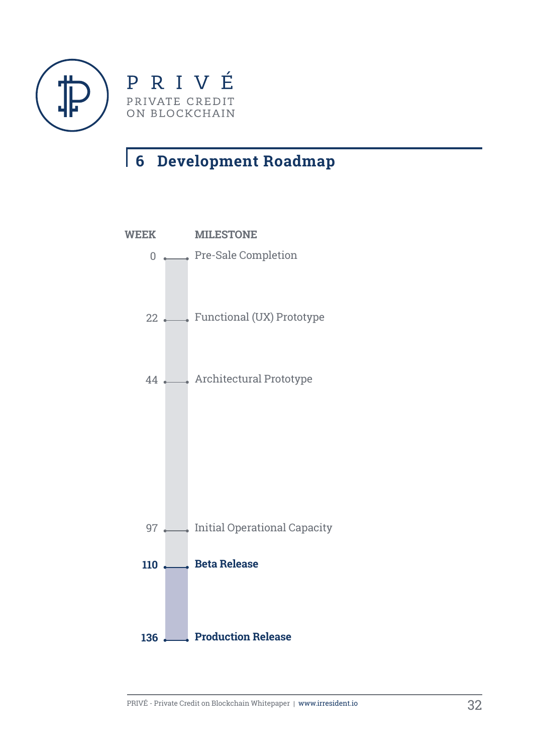



# **Development Roadmap**

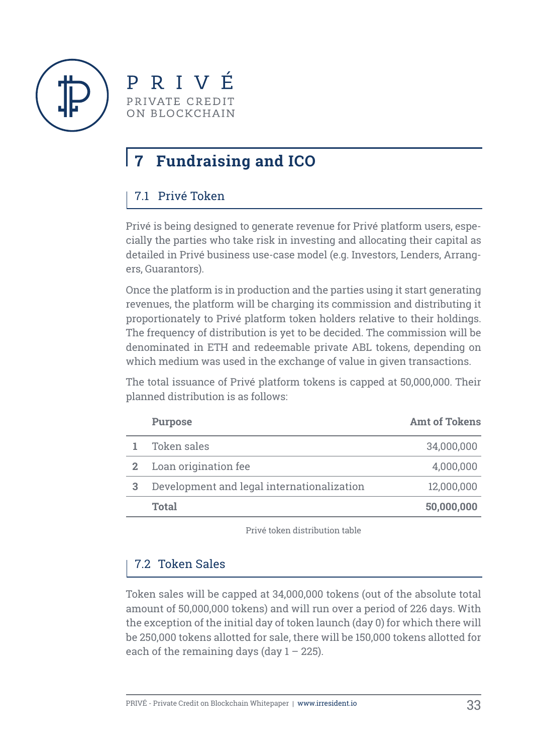

PRIVÉ PRIVATE CREDIT ON BLOCKCHAIN

# **7 Fundraising and ICO**

# 7.1 Privé Token

Privé is being designed to generate revenue for Privé platform users, especially the parties who take risk in investing and allocating their capital as detailed in Privé business use-case model (e.g. Investors, Lenders, Arrangers, Guarantors).

Once the platform is in production and the parties using it start generating revenues, the platform will be charging its commission and distributing it proportionately to Privé platform token holders relative to their holdings. The frequency of distribution is yet to be decided. The commission will be denominated in ETH and redeemable private ABL tokens, depending on which medium was used in the exchange of value in given transactions.

The total issuance of Privé platform tokens is capped at 50,000,000. Their planned distribution is as follows:

| <b>Purpose</b>                             | <b>Amt of Tokens</b> |
|--------------------------------------------|----------------------|
| Token sales                                | 34,000,000           |
| Loan origination fee                       | 4,000,000            |
| Development and legal internationalization | 12,000,000           |
| <b>Total</b>                               | 50,000,000           |

Privé token distribution table

### 7.2 Token Sales

Token sales will be capped at 34,000,000 tokens (out of the absolute total amount of 50,000,000 tokens) and will run over a period of 226 days. With the exception of the initial day of token launch (day 0) for which there will be 250,000 tokens allotted for sale, there will be 150,000 tokens allotted for each of the remaining days (day  $1 - 225$ ).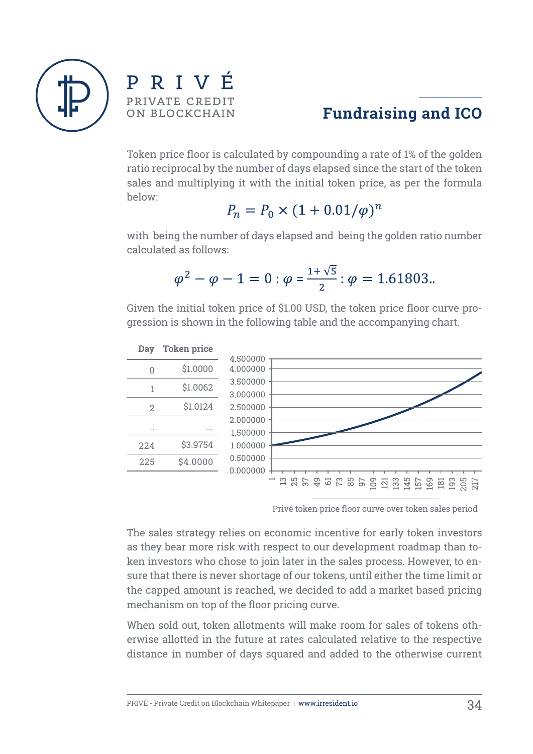

RIVÉ P. PRIVATE CREDIT ON BLOCKCHAIN



Token price floor is calculated by compounding a rate of 1% of the golden ratio reciprocal by the number of days elapsed since the start of the token sales and multiplying it with the initial token price, as per the formula below:

$$
P_n = P_0 \times (1 + 0.01/\varphi)^n
$$

with being the number of days elapsed and being the golden ratio number calculated as follows:

$$
\varphi^2 - \varphi - 1 = 0 : \varphi = \frac{1 + \sqrt{5}}{2} : \varphi = 1.61803.
$$

Given the initial token price of \$1.00 USD, the token price floor curve progression is shown in the following table and the accompanying chart.



Privé token price floor curve over token sales period

The sales strategy relies on economic incentive for early token investors as they bear more risk with respect to our development roadmap than token investors who chose to join later in the sales process. However, to ensure that there is never shortage of our tokens, until either the time limit or the capped amount is reached, we decided to add a market based pricing mechanism on top of the floor pricing curve.

When sold out, token allotments will make room for sales of tokens otherwise allotted in the future at rates calculated relative to the respective distance in number of days squared and added to the otherwise current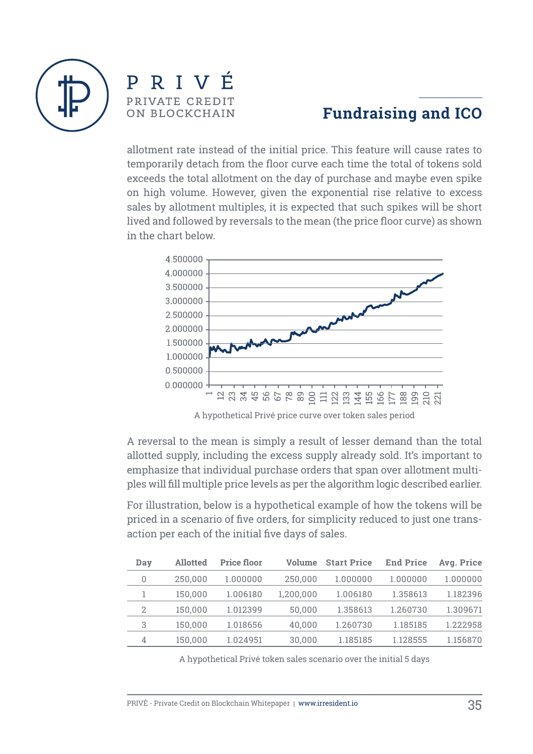

# PRIVÉ PRIVATE CREDIT ON BLOCKCHAIN

# **Fundraising and ICO**

allotment rate instead of the initial price. This feature will cause rates to temporarily detach from the floor curve each time the total of tokens sold exceeds the total allotment on the day of purchase and maybe even spike on high volume. However, given the exponential rise relative to excess sales by allotment multiples, it is expected that such spikes will be short lived and followed by reversals to the mean (the price floor curve) as shown in the chart below.



A reversal to the mean is simply a result of lesser demand than the total allotted supply, including the excess supply already sold. It's important to emphasize that individual purchase orders that span over allotment multiples will fill multiple price levels as per the algorithm logic described earlier.

For illustration, below is a hypothetical example of how the tokens will be priced in a scenario of five orders, for simplicity reduced to just one transaction per each of the initial five days of sales.

| Day            | <b>Allotted</b> | <b>Price floor</b> | Volume    | <b>Start Price</b> | <b>End Price</b> | Avg. Price |
|----------------|-----------------|--------------------|-----------|--------------------|------------------|------------|
| 0              | 250,000         | 1.000000           | 250,000   | 1.000000           | 1.000000         | 1.000000   |
|                | 150,000         | 1.006180           | 1,200,000 | 1.006180           | 1.358613         | 1.182396   |
| $\overline{2}$ | 150.000         | 1.012399           | 50,000    | 1.358613           | 1.260730         | 1.309671   |
| 3              | 150,000         | 1.018656           | 40,000    | 1.260730           | 1.185185         | 1.222958   |
| 4              | 150,000         | 1.024951           | 30,000    | 1.185185           | 1.128555         | 1.156870   |

A hypothetical Privé token sales scenario over the initial 5 days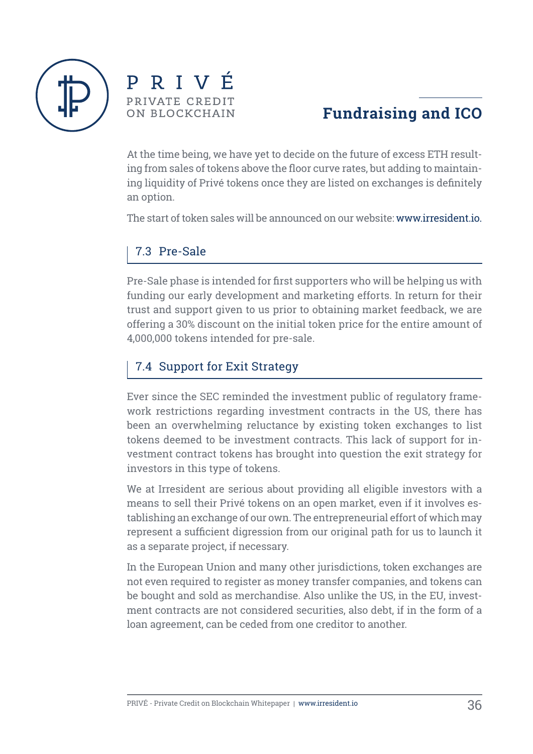



# **Fundraising and ICO**

At the time being, we have yet to decide on the future of excess ETH resulting from sales of tokens above the floor curve rates, but adding to maintaining liquidity of Privé tokens once they are listed on exchanges is definitely an option.

The start of token sales will be announced on our website: www.irresident.io.

#### 7.3 Pre-Sale

Pre-Sale phase is intended for first supporters who will be helping us with funding our early development and marketing efforts. In return for their trust and support given to us prior to obtaining market feedback, we are offering a 30% discount on the initial token price for the entire amount of 4,000,000 tokens intended for pre-sale.

### 7.4 Support for Exit Strategy

Ever since the SEC reminded the investment public of regulatory framework restrictions regarding investment contracts in the US, there has been an overwhelming reluctance by existing token exchanges to list tokens deemed to be investment contracts. This lack of support for investment contract tokens has brought into question the exit strategy for investors in this type of tokens.

We at Irresident are serious about providing all eligible investors with a means to sell their Privé tokens on an open market, even if it involves establishing an exchange of our own. The entrepreneurial effort of which may represent a sufficient digression from our original path for us to launch it as a separate project, if necessary.

In the European Union and many other jurisdictions, token exchanges are not even required to register as money transfer companies, and tokens can be bought and sold as merchandise. Also unlike the US, in the EU, investment contracts are not considered securities, also debt, if in the form of a loan agreement, can be ceded from one creditor to another.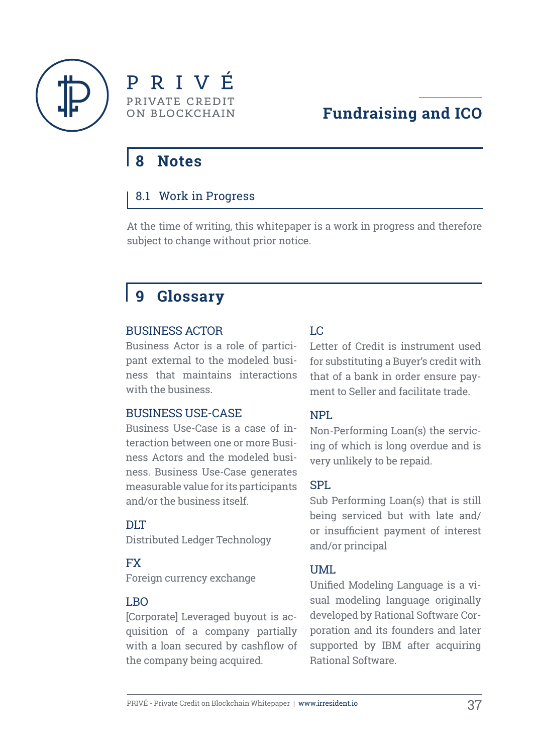



# **8 Notes**

#### 8.1 Work in Progress

At the time of writing, this whitepaper is a work in progress and therefore subject to change without prior notice.

# **9 Glossary**

#### BUSINESS ACTOR

Business Actor is a role of participant external to the modeled business that maintains interactions with the business.

#### BUSINESS USE-CASE

Business Use-Case is a case of interaction between one or more Business Actors and the modeled business. Business Use-Case generates measurable value for its participants and/or the business itself.

#### DLT

Distributed Ledger Technology

#### FX

Foreign currency exchange

#### LBO

[Corporate] Leveraged buyout is acquisition of a company partially with a loan secured by cashflow of the company being acquired.

#### LC

Letter of Credit is instrument used for substituting a Buyer's credit with that of a bank in order ensure payment to Seller and facilitate trade.

#### NPL

Non-Performing Loan(s) the servicing of which is long overdue and is very unlikely to be repaid.

#### SPL

Sub Performing Loan(s) that is still being serviced but with late and/ or insufficient payment of interest and/or principal

#### UML

Unified Modeling Language is a visual modeling language originally developed by Rational Software Corporation and its founders and later supported by IBM after acquiring Rational Software.